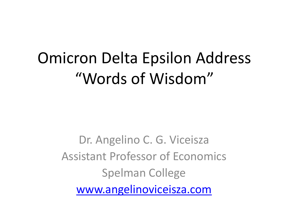# Omicron Delta Epsilon Address "Words of Wisdom"

Dr. Angelino C. G. Viceisza Assistant Professor of Economics Spelman College www.angelinoviceisza.com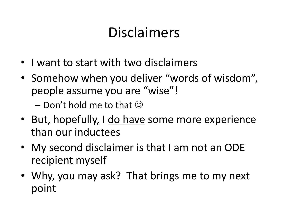#### Disclaimers

- I want to start with two disclaimers
- Somehow when you deliver "words of wisdom", people assume you are "wise"!
	- $-$  Don't hold me to that  $\odot$
- But, hopefully, I do have some more experience than our inductees
- My second disclaimer is that I am not an ODE recipient myself
- Why, you may ask? That brings me to my next point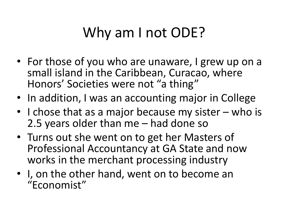## Why am I not ODE?

- For those of you who are unaware, I grew up on a small island in the Caribbean, Curacao, where Honors' Societies were not "a thing"
- In addition, I was an accounting major in College
- I chose that as a major because my sister who is 2.5 years older than me – had done so
- Turns out she went on to get her Masters of Professional Accountancy at GA State and now works in the merchant processing industry
- I, on the other hand, went on to become an "Economist"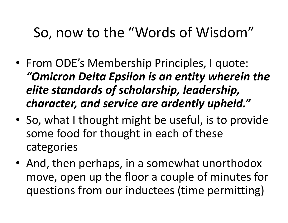#### So, now to the "Words of Wisdom"

- From ODE's Membership Principles, I quote: *"Omicron Delta Epsilon is an entity wherein the elite standards of scholarship, leadership, character, and service are ardently upheld."*
- So, what I thought might be useful, is to provide some food for thought in each of these categories
- And, then perhaps, in a somewhat unorthodox move, open up the floor a couple of minutes for questions from our inductees (time permitting)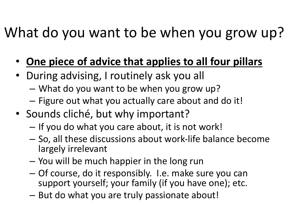#### What do you want to be when you grow up?

- **One piece of advice that applies to all four pillars**
- During advising, I routinely ask you all
	- What do you want to be when you grow up?
	- Figure out what you actually care about and do it!
- Sounds cliché, but why important?
	- If you do what you care about, it is not work!
	- So, all these discussions about work-life balance become largely irrelevant
	- You will be much happier in the long run
	- Of course, do it responsibly. I.e. make sure you can support yourself; your family (if you have one); etc.
	- But do what you are truly passionate about!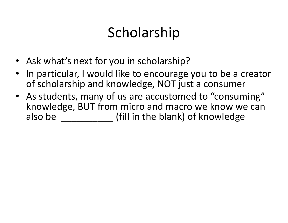## Scholarship

- Ask what's next for you in scholarship?
- In particular, I would like to encourage you to be a creator of scholarship and knowledge, NOT just a consumer
- As students, many of us are accustomed to "consuming" knowledge, BUT from micro and macro we know we can also be **the inumity** (fill in the blank) of knowledge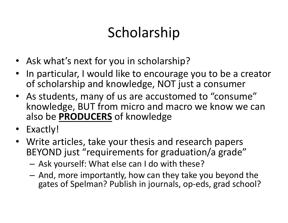## Scholarship

- Ask what's next for you in scholarship?
- In particular, I would like to encourage you to be a creator of scholarship and knowledge, NOT just a consumer
- As students, many of us are accustomed to "consume" knowledge, BUT from micro and macro we know we can also be **PRODUCERS** of knowledge
- Exactly!
- Write articles, take your thesis and research papers BEYOND just "requirements for graduation/a grade"
	- Ask yourself: What else can I do with these?
	- And, more importantly, how can they take you beyond the gates of Spelman? Publish in journals, op-eds, grad school?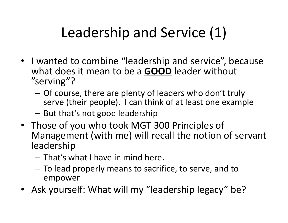## Leadership and Service (1)

- I wanted to combine "leadership and service", because what does it mean to be a **GOOD** leader without "serving"?
	- Of course, there are plenty of leaders who don't truly serve (their people). I can think of at least one example
	- But that's not good leadership
- Those of you who took MGT 300 Principles of Management (with me) will recall the notion of servant leadership
	- That's what I have in mind here.
	- To lead properly means to sacrifice, to serve, and to empower
- Ask yourself: What will my "leadership legacy" be?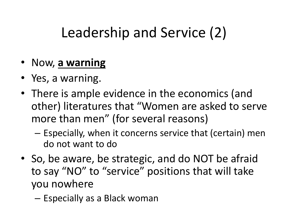## Leadership and Service (2)

- Now, **a warning**
- Yes, a warning.
- There is ample evidence in the economics (and other) literatures that "Women are asked to serve more than men" (for several reasons)
	- Especially, when it concerns service that (certain) men do not want to do
- So, be aware, be strategic, and do NOT be afraid to say "NO" to "service" positions that will take you nowhere
	- Especially as a Black woman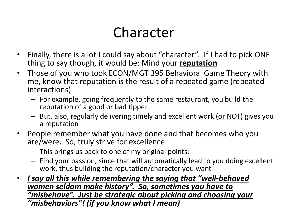#### Character

- Finally, there is a lot I could say about "character". If I had to pick ONE thing to say though, it would be: Mind your **reputation**
- Those of you who took ECON/MGT 395 Behavioral Game Theory with me, know that reputation is the result of a repeated game (repeated interactions)
	- For example, going frequently to the same restaurant, you build the reputation of a good or bad tipper
	- But, also, regularly delivering timely and excellent work (or NOT) gives you a reputation
- People remember what you have done and that becomes who you are/were. So, truly strive for excellence
	- This brings us back to one of my original points:
	- Find your passion, since that will automatically lead to you doing excellent work, thus building the reputation/character you want
- *I say all this while remembering the saying that "well-behaved women seldom make history". So, sometimes you have to "misbehave". Just be strategic about picking and choosing your "misbehaviors"! (if you know what I mean)*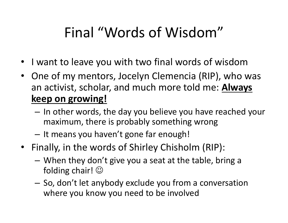### Final "Words of Wisdom"

- I want to leave you with two final words of wisdom
- One of my mentors, Jocelyn Clemencia (RIP), who was an activist, scholar, and much more told me: **Always keep on growing!**
	- In other words, the day you believe you have reached your maximum, there is probably something wrong
	- It means you haven't gone far enough!
- Finally, in the words of Shirley Chisholm (RIP):
	- When they don't give you a seat at the table, bring a folding chair!  $\odot$
	- So, don't let anybody exclude you from a conversation where you know you need to be involved